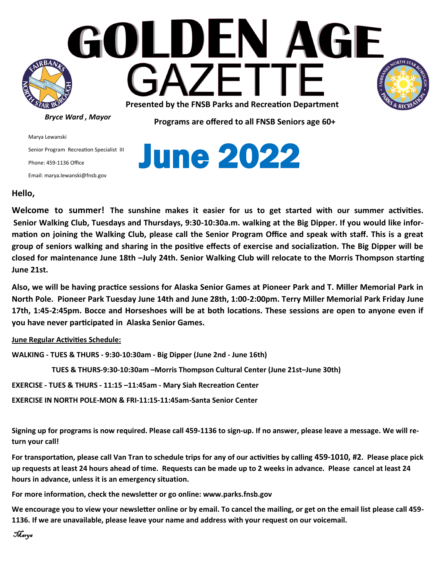

Marya Lewanski Senior Program Recreation Specialist III Phone: 459-1136 Office Email: marya.lewanski@fnsb.gov



## **Hello,**

**Welcome to summer! The sunshine makes it easier for us to get started with our summer activities. Senior Walking Club, Tuesdays and Thursdays, 9:30-10:30a.m. walking at the Big Dipper. If you would like information on joining the Walking Club, please call the Senior Program Office and speak with staff. This is a great group of seniors walking and sharing in the positive effects of exercise and socialization. The Big Dipper will be closed for maintenance June 18th –July 24th. Senior Walking Club will relocate to the Morris Thompson starting June 21st.** 

**Also, we will be having practice sessions for Alaska Senior Games at Pioneer Park and T. Miller Memorial Park in North Pole. Pioneer Park Tuesday June 14th and June 28th, 1:00-2:00pm. Terry Miller Memorial Park Friday June 17th, 1:45-2:45pm. Bocce and Horseshoes will be at both locations. These sessions are open to anyone even if you have never participated in Alaska Senior Games.** 

**June Regular Activities Schedule:** 

**WALKING - TUES & THURS - 9:30-10:30am - Big Dipper (June 2nd - June 16th)**

 **TUES & THURS-9:30-10:30am –Morris Thompson Cultural Center (June 21st–June 30th)**

**EXERCISE - TUES & THURS - 11:15 –11:45am - Mary Siah Recreation Center** 

**EXERCISE IN NORTH POLE-MON & FRI-11:15-11:45am-Santa Senior Center**

**Signing up for programs is now required. Please call 459-1136 to sign-up. If no answer, please leave a message. We will return your call!** 

**For transportation, please call Van Tran to schedule trips for any of our activities by calling 459-1010, #2. Please place pick up requests at least 24 hours ahead of time. Requests can be made up to 2 weeks in advance. Please cancel at least 24 hours in advance, unless it is an emergency situation.** 

**For more information, check the newsletter or go online: www.parks.fnsb.gov**

**We encourage you to view your newsletter online or by email. To cancel the mailing, or get on the email list please call 459- 1136. If we are unavailable, please leave your name and address with your request on our voicemail.**

```
Marya
```